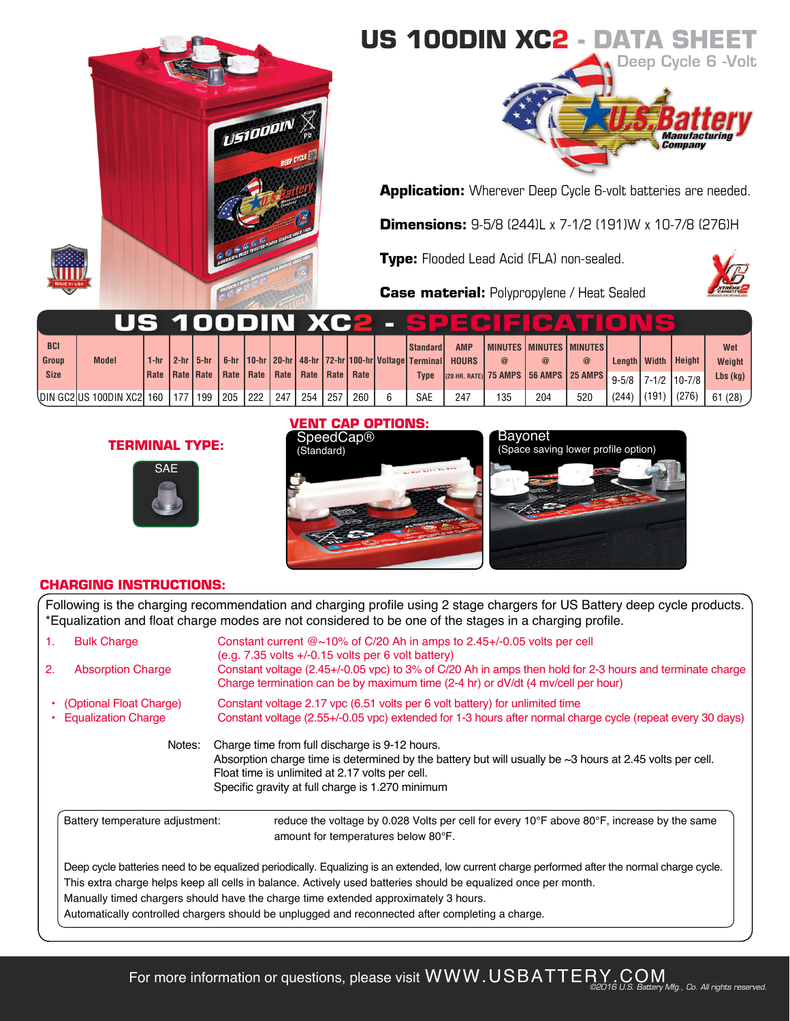

## **US 100DIN XC2 - DATA SH**



**Application:** Wherever Deep Cycle 6-volt batteries are needed.

**Dimensions:** 9-5/8 (244)L x 7-1/2 (191)W x 10-7/8 (276)H

**Type:** Flooded Lead Acid (FLA) non-sealed.

**Case material:** Polypropylene / Heat Sealed



|             |                                                      |  |                                        |  |     |       |     |                                                              |                                                      |              |     | US 100DIN XC2 - SPECIEICATIC          |             |           |       |                         |            |
|-------------|------------------------------------------------------|--|----------------------------------------|--|-----|-------|-----|--------------------------------------------------------------|------------------------------------------------------|--------------|-----|---------------------------------------|-------------|-----------|-------|-------------------------|------------|
| <b>BCI</b>  |                                                      |  |                                        |  |     |       |     |                                                              | Standard                                             | <b>AMP</b>   |     | <b>I MINUTES I MINUTES I MINUTES</b>  |             |           |       |                         | Wet        |
| Group       | <b>Model</b>                                         |  | 1-hr $\vert$ 2-hr $\vert$ 5-hr $\vert$ |  |     |       |     |                                                              | 6-hr 10-hr 20-hr 48-hr 72-hr 100-hr Voltage Terminal | <b>HOURS</b> |     | @                                     | $\circleda$ |           |       | Length   Width   Height | Weight     |
| <b>Size</b> |                                                      |  |                                        |  |     |       |     | Rate   Rate   Rate   Rate   Rate   Rate   Rate   Rate   Rate | <b>Type</b>                                          |              |     | (20 HR. RATE) 75 AMPS 56 AMPS 25 AMPS |             | $9 - 5/8$ |       | 7-1/2   10-7/8          | $Lbs$ (kg) |
|             | \DIN GC2 US 100DIN XC2   160   177   199   205   222 |  |                                        |  | 247 | 254 I | 257 | 260                                                          | <b>SAE</b>                                           | 247          | 135 | 204                                   | 520         | (244)     | (191) | $^{\prime}$ (276)       | 61(28)     |

## **TERMINAL TYPE:**



### **VENT CAP OPTIONS:**





### **CHARGING INSTRUCTIONS:**

Following is the charging recommendation and charging profile using 2 stage chargers for US Battery deep cycle products. \*Equalization and float charge modes are not considered to be one of the stages in a charging profile.

| 1.<br>2. | <b>Bulk Charge</b><br><b>Absorption Charge</b>        | Constant current $@{\sim}10\%$ of C/20 Ah in amps to 2.45+/-0.05 volts per cell<br>$(e.g. 7.35$ volts $+/-0.15$ volts per 6 volt battery)<br>Constant voltage (2.45+/-0.05 vpc) to 3% of C/20 Ah in amps then hold for 2-3 hours and terminate charge<br>Charge termination can be by maximum time (2-4 hr) or dV/dt (4 mv/cell per hour)                                                                                                                   |  |  |  |  |  |  |  |
|----------|-------------------------------------------------------|-------------------------------------------------------------------------------------------------------------------------------------------------------------------------------------------------------------------------------------------------------------------------------------------------------------------------------------------------------------------------------------------------------------------------------------------------------------|--|--|--|--|--|--|--|
|          | (Optional Float Charge)<br><b>Equalization Charge</b> | Constant voltage 2.17 ypc (6.51 volts per 6 volt battery) for unlimited time<br>Constant voltage (2.55+/-0.05 vpc) extended for 1-3 hours after normal charge cycle (repeat every 30 days)                                                                                                                                                                                                                                                                  |  |  |  |  |  |  |  |
|          | Notes:                                                | Charge time from full discharge is 9-12 hours.<br>Absorption charge time is determined by the battery but will usually be $\sim$ 3 hours at 2.45 volts per cell.<br>Float time is unlimited at 2.17 volts per cell.<br>Specific gravity at full charge is 1.270 minimum                                                                                                                                                                                     |  |  |  |  |  |  |  |
|          | Battery temperature adjustment:                       | reduce the voltage by 0.028 Volts per cell for every 10 $\degree$ F above 80 $\degree$ F, increase by the same<br>amount for temperatures below 80°F.                                                                                                                                                                                                                                                                                                       |  |  |  |  |  |  |  |
|          |                                                       | Deep cycle batteries need to be equalized periodically. Equalizing is an extended, low current charge performed after the normal charge cycle.<br>This extra charge helps keep all cells in balance. Actively used batteries should be equalized once per month.<br>Manually timed chargers should have the charge time extended approximately 3 hours.<br>Automatically controlled chargers should be unplugged and reconnected after completing a charge. |  |  |  |  |  |  |  |